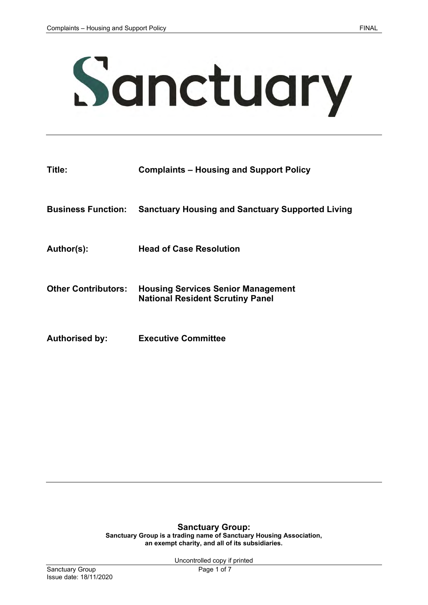

| Title:                     | <b>Complaints – Housing and Support Policy</b>                                       |
|----------------------------|--------------------------------------------------------------------------------------|
| <b>Business Function:</b>  | <b>Sanctuary Housing and Sanctuary Supported Living</b>                              |
| Author(s):                 | <b>Head of Case Resolution</b>                                                       |
| <b>Other Contributors:</b> | <b>Housing Services Senior Management</b><br><b>National Resident Scrutiny Panel</b> |

**Authorised by: Executive Committee**

#### **Sanctuary Group: Sanctuary Group is a trading name of Sanctuary Housing Association, an exempt charity, and all of its subsidiaries.**

Uncontrolled copy if printed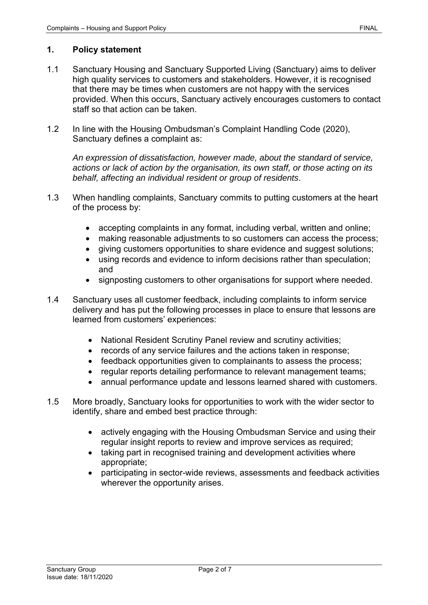- 1.1 Sanctuary Housing and Sanctuary Supported Living (Sanctuary) aims to deliver high quality services to customers and stakeholders. However, it is recognised that there may be times when customers are not happy with the services provided. When this occurs, Sanctuary actively encourages customers to contact staff so that action can be taken.
- 1.2 In line with the Housing Ombudsman's Complaint Handling Code (2020), Sanctuary defines a complaint as:

*An expression of dissatisfaction, however made, about the standard of service, actions or lack of action by the organisation, its own staff, or those acting on its behalf, affecting an individual resident or group of residents*.

- 1.3 When handling complaints, Sanctuary commits to putting customers at the heart of the process by:
	- accepting complaints in any format, including verbal, written and online;
	- making reasonable adjustments to so customers can access the process;
	- giving customers opportunities to share evidence and suggest solutions;
	- using records and evidence to inform decisions rather than speculation; and
	- signposting customers to other organisations for support where needed.
- 1.4 Sanctuary uses all customer feedback, including complaints to inform service delivery and has put the following processes in place to ensure that lessons are learned from customers' experiences:
	- National Resident Scrutiny Panel review and scrutiny activities;
	- records of any service failures and the actions taken in response;
	- feedback opportunities given to complainants to assess the process;
	- regular reports detailing performance to relevant management teams;
	- annual performance update and lessons learned shared with customers.
- 1.5 More broadly, Sanctuary looks for opportunities to work with the wider sector to identify, share and embed best practice through:
	- actively engaging with the Housing Ombudsman Service and using their regular insight reports to review and improve services as required;
	- taking part in recognised training and development activities where appropriate;
	- participating in sector-wide reviews, assessments and feedback activities wherever the opportunity arises.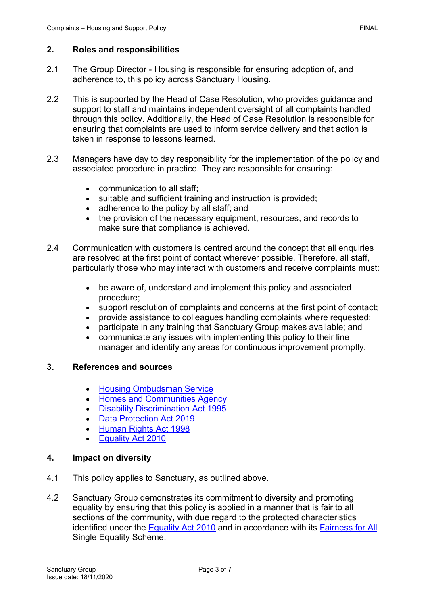## **2. Roles and responsibilities**

- 2.1 The Group Director Housing is responsible for ensuring adoption of, and adherence to, this policy across Sanctuary Housing.
- 2.2 This is supported by the Head of Case Resolution, who provides guidance and support to staff and maintains independent oversight of all complaints handled through this policy. Additionally, the Head of Case Resolution is responsible for ensuring that complaints are used to inform service delivery and that action is taken in response to lessons learned.
- 2.3 Managers have day to day responsibility for the implementation of the policy and associated procedure in practice. They are responsible for ensuring:
	- communication to all staff;
	- suitable and sufficient training and instruction is provided;
	- adherence to the policy by all staff; and
	- the provision of the necessary equipment, resources, and records to make sure that compliance is achieved.
- 2.4 Communication with customers is centred around the concept that all enquiries are resolved at the first point of contact wherever possible. Therefore, all staff, particularly those who may interact with customers and receive complaints must:
	- be aware of, understand and implement this policy and associated procedure;
	- support resolution of complaints and concerns at the first point of contact;
	- provide assistance to colleagues handling complaints where requested;
	- participate in any training that Sanctuary Group makes available; and
	- communicate any issues with implementing this policy to their line manager and identify any areas for continuous improvement promptly.

# **3. References and sources**

- [Housing Ombudsman Service](https://www.housing-ombudsman.org.uk/)
- [Homes and Communities Agency](https://www.gov.uk/government/organisations/homes-and-communities-agency)
- [Disability Discrimination Act 1995](http://www.legislation.gov.uk/ukpga/1995/50)
- [Data Protection Act 2019](https://www.gov.uk/data-protection)
- [Human Rights Act 1998](http://www.legislation.gov.uk/ukpga/1998/42/contents)
- [Equality Act 2010](http://www.legislation.gov.uk/ukpga/2010/15/contents)

## **4. Impact on diversity**

- 4.1 This policy applies to Sanctuary, as outlined above.
- 4.2 Sanctuary Group demonstrates its commitment to diversity and promoting equality by ensuring that this policy is applied in a manner that is fair to all sections of the community, with due regard to the protected characteristics identified under the [Equality Act 2010](http://www.legislation.gov.uk/ukpga/2010/15/contents) and in accordance with its [Fairness for All](https://www.sanctuary-group.co.uk/sites/default/files/quick_media/fairness-for-all-scheme-2019-2021-v2.pdf) Single Equality Scheme.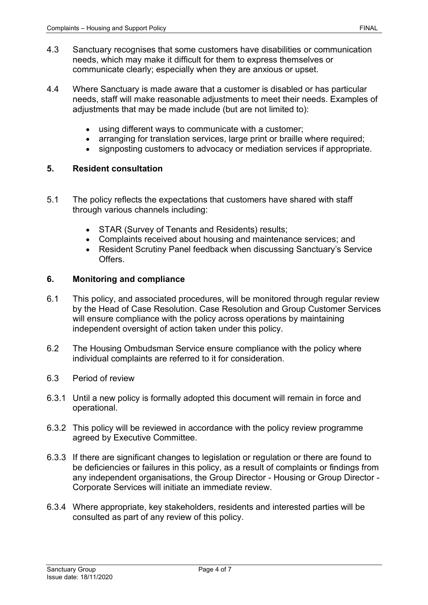- 4.3 Sanctuary recognises that some customers have disabilities or communication needs, which may make it difficult for them to express themselves or communicate clearly; especially when they are anxious or upset.
- 4.4 Where Sanctuary is made aware that a customer is disabled or has particular needs, staff will make reasonable adjustments to meet their needs. Examples of adjustments that may be made include (but are not limited to):
	- using different ways to communicate with a customer;
	- arranging for translation services, large print or braille where required;
	- signposting customers to advocacy or mediation services if appropriate.

#### **5. Resident consultation**

- 5.1 The policy reflects the expectations that customers have shared with staff through various channels including:
	- STAR (Survey of Tenants and Residents) results;
	- Complaints received about housing and maintenance services; and
	- Resident Scrutiny Panel feedback when discussing Sanctuary's Service Offers.

### **6. Monitoring and compliance**

- 6.1 This policy, and associated procedures, will be monitored through regular review by the Head of Case Resolution. Case Resolution and Group Customer Services will ensure compliance with the policy across operations by maintaining independent oversight of action taken under this policy.
- 6.2 The Housing Ombudsman Service ensure compliance with the policy where individual complaints are referred to it for consideration.
- 6.3 Period of review
- 6.3.1 Until a new policy is formally adopted this document will remain in force and operational.
- 6.3.2 This policy will be reviewed in accordance with the policy review programme agreed by Executive Committee.
- 6.3.3 If there are significant changes to legislation or regulation or there are found to be deficiencies or failures in this policy, as a result of complaints or findings from any independent organisations, the Group Director - Housing or Group Director - Corporate Services will initiate an immediate review.
- 6.3.4 Where appropriate, key stakeholders, residents and interested parties will be consulted as part of any review of this policy.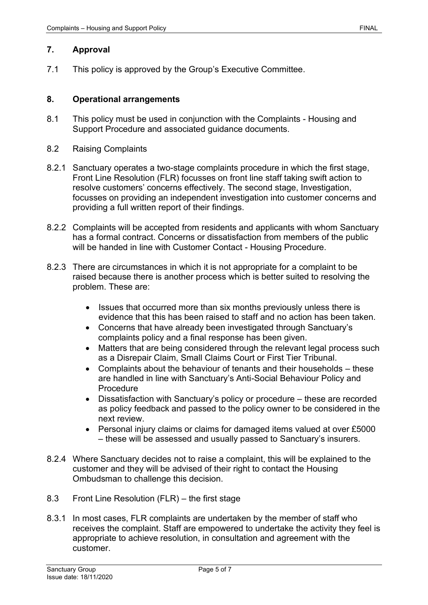# **7. Approval**

7.1 This policy is approved by the Group's Executive Committee.

### **8. Operational arrangements**

- 8.1 This policy must be used in conjunction with the Complaints Housing and Support Procedure and associated guidance documents.
- 8.2 Raising Complaints
- 8.2.1 Sanctuary operates a two-stage complaints procedure in which the first stage, Front Line Resolution (FLR) focusses on front line staff taking swift action to resolve customers' concerns effectively. The second stage, Investigation, focusses on providing an independent investigation into customer concerns and providing a full written report of their findings.
- 8.2.2 Complaints will be accepted from residents and applicants with whom Sanctuary has a formal contract. Concerns or dissatisfaction from members of the public will be handed in line with Customer Contact - Housing Procedure.
- 8.2.3 There are circumstances in which it is not appropriate for a complaint to be raised because there is another process which is better suited to resolving the problem. These are:
	- Issues that occurred more than six months previously unless there is evidence that this has been raised to staff and no action has been taken.
	- Concerns that have already been investigated through Sanctuary's complaints policy and a final response has been given.
	- Matters that are being considered through the relevant legal process such as a Disrepair Claim, Small Claims Court or First Tier Tribunal.
	- Complaints about the behaviour of tenants and their households these are handled in line with Sanctuary's Anti-Social Behaviour Policy and Procedure
	- Dissatisfaction with Sanctuary's policy or procedure these are recorded as policy feedback and passed to the policy owner to be considered in the next review.
	- Personal injury claims or claims for damaged items valued at over £5000 – these will be assessed and usually passed to Sanctuary's insurers.
- 8.2.4 Where Sanctuary decides not to raise a complaint, this will be explained to the customer and they will be advised of their right to contact the Housing Ombudsman to challenge this decision.
- 8.3 Front Line Resolution (FLR) the first stage
- 8.3.1 In most cases, FLR complaints are undertaken by the member of staff who receives the complaint. Staff are empowered to undertake the activity they feel is appropriate to achieve resolution, in consultation and agreement with the customer.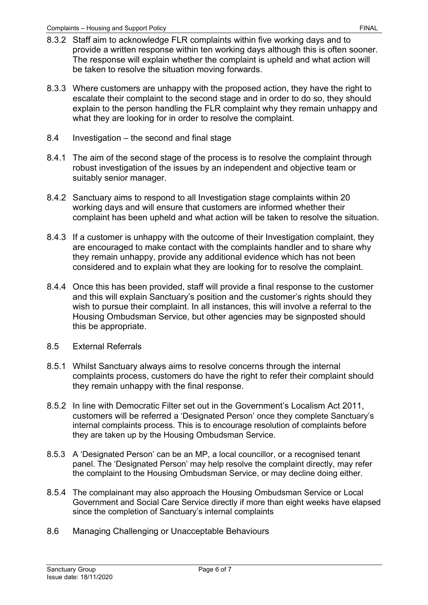- 8.3.2 Staff aim to acknowledge FLR complaints within five working days and to provide a written response within ten working days although this is often sooner. The response will explain whether the complaint is upheld and what action will be taken to resolve the situation moving forwards.
- 8.3.3 Where customers are unhappy with the proposed action, they have the right to escalate their complaint to the second stage and in order to do so, they should explain to the person handling the FLR complaint why they remain unhappy and what they are looking for in order to resolve the complaint.
- 8.4 Investigation the second and final stage
- 8.4.1 The aim of the second stage of the process is to resolve the complaint through robust investigation of the issues by an independent and objective team or suitably senior manager.
- 8.4.2 Sanctuary aims to respond to all Investigation stage complaints within 20 working days and will ensure that customers are informed whether their complaint has been upheld and what action will be taken to resolve the situation.
- 8.4.3 If a customer is unhappy with the outcome of their Investigation complaint, they are encouraged to make contact with the complaints handler and to share why they remain unhappy, provide any additional evidence which has not been considered and to explain what they are looking for to resolve the complaint.
- 8.4.4 Once this has been provided, staff will provide a final response to the customer and this will explain Sanctuary's position and the customer's rights should they wish to pursue their complaint. In all instances, this will involve a referral to the Housing Ombudsman Service, but other agencies may be signposted should this be appropriate.
- 8.5 External Referrals
- 8.5.1 Whilst Sanctuary always aims to resolve concerns through the internal complaints process, customers do have the right to refer their complaint should they remain unhappy with the final response.
- 8.5.2 In line with Democratic Filter set out in the Government's Localism Act 2011, customers will be referred a 'Designated Person' once they complete Sanctuary's internal complaints process. This is to encourage resolution of complaints before they are taken up by the Housing Ombudsman Service.
- 8.5.3 A 'Designated Person' can be an MP, a local councillor, or a recognised tenant panel. The 'Designated Person' may help resolve the complaint directly, may refer the complaint to the Housing Ombudsman Service, or may decline doing either.
- 8.5.4 The complainant may also approach the Housing Ombudsman Service or Local Government and Social Care Service directly if more than eight weeks have elapsed since the completion of Sanctuary's internal complaints
- 8.6 Managing Challenging or Unacceptable Behaviours